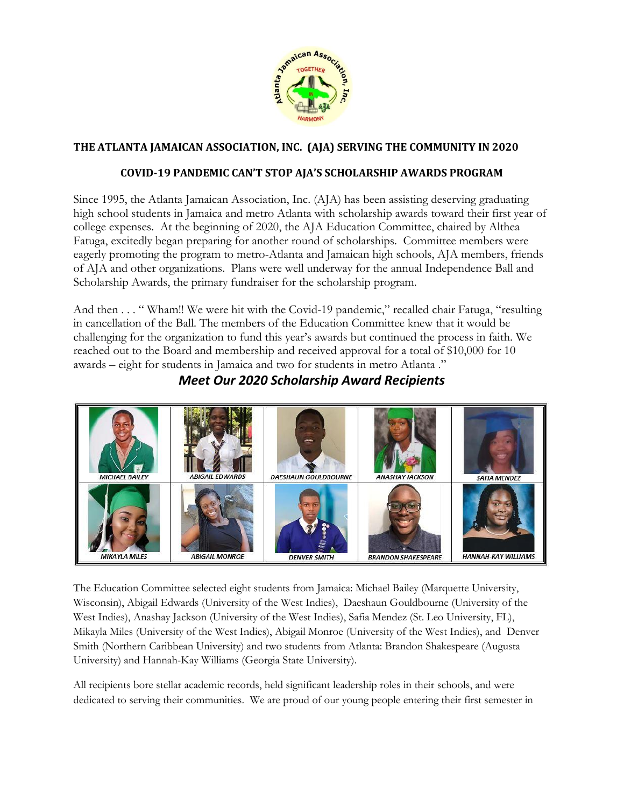

## **THE ATLANTA JAMAICAN ASSOCIATION, INC. (AJA) SERVING THE COMMUNITY IN 2020**

## **COVID-19 PANDEMIC CAN'T STOP AJA'S SCHOLARSHIP AWARDS PROGRAM**

Since 1995, the Atlanta Jamaican Association, Inc. (AJA) has been assisting deserving graduating high school students in Jamaica and metro Atlanta with scholarship awards toward their first year of college expenses. At the beginning of 2020, the AJA Education Committee, chaired by Althea Fatuga, excitedly began preparing for another round of scholarships. Committee members were eagerly promoting the program to metro-Atlanta and Jamaican high schools, AJA members, friends of AJA and other organizations. Plans were well underway for the annual Independence Ball and Scholarship Awards, the primary fundraiser for the scholarship program.

And then . . . " Wham!! We were hit with the Covid-19 pandemic," recalled chair Fatuga, "resulting in cancellation of the Ball. The members of the Education Committee knew that it would be challenging for the organization to fund this year's awards but continued the process in faith. We reached out to the Board and membership and received approval for a total of \$10,000 for 10 awards – eight for students in Jamaica and two for students in metro Atlanta ."



*Meet Our 2020 Scholarship Award Recipients*

The Education Committee selected eight students from Jamaica: Michael Bailey (Marquette University, Wisconsin), Abigail Edwards (University of the West Indies), Daeshaun Gouldbourne (University of the West Indies), Anashay Jackson (University of the West Indies), Safia Mendez (St. Leo University, FL), Mikayla Miles (University of the West Indies), Abigail Monroe (University of the West Indies), and Denver Smith (Northern Caribbean University) and two students from Atlanta: Brandon Shakespeare (Augusta University) and Hannah-Kay Williams (Georgia State University).

All recipients bore stellar academic records, held significant leadership roles in their schools, and were dedicated to serving their communities. We are proud of our young people entering their first semester in